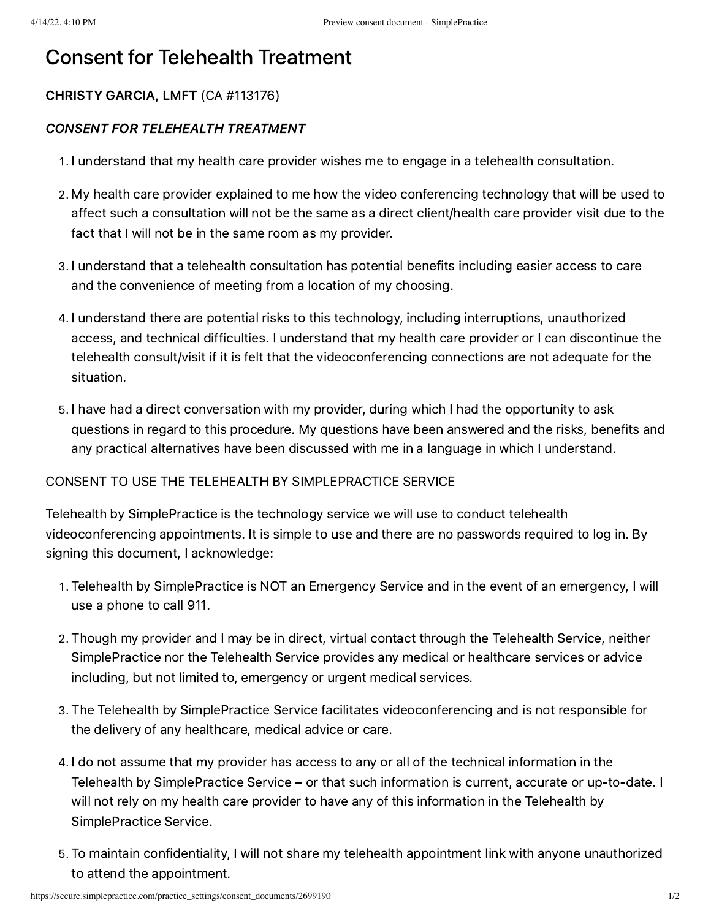## Consent for Telehealth Treatment

## CHRISTY GARCIA, LMFT (CA #113176)

## CONSENT FOR TELEHEALTH TREATMENT

- . I understand that my health care provider wishes me to engage in a telehealth consultation.
- . My health care provider explained to me how the video conferencing technology that will be used to affect such a consultation will not be the same as a direct client/health care provider visit due to the fact that I will not be in the same room as my provider.
- . I understand that a telehealth consultation has potential benefits including easier access to care and the convenience of meeting from a location of my choosing.
- . I understand there are potential risks to this technology, including interruptions, unauthorized access, and technical difficulties. I understand that my health care provider or I can discontinue the telehealth consult/visit if it is felt that the videoconferencing connections are not adequate for the situation.
- . I have had a direct conversation with my provider, during which I had the opportunity to ask questions in regard to this procedure. My questions have been answered and the risks, benefits and any practical alternatives have been discussed with me in a language in which I understand.

## CONSENT TO USE THE TELEHEALTH BY SIMPLEPRACTICE SERVICE

Telehealth by SimplePractice is the technology service we will use to conduct telehealth videoconferencing appointments. It is simple to use and there are no passwords required to log in. By signing this document, I acknowledge:

- . Telehealth by SimplePractice is NOT an Emergency Service and in the event of an emergency, I will use a phone to call 911.
- . Though my provider and I may be in direct, virtual contact through the Telehealth Service, neither SimplePractice nor the Telehealth Service provides any medical or healthcare services or advice including, but not limited to, emergency or urgent medical services.
- . The Telehealth by SimplePractice Service facilitates videoconferencing and is not responsible for the delivery of any healthcare, medical advice or care.
- . I do not assume that my provider has access to any or all of the technical information in the Telehealth by SimplePractice Service – or that such information is current, accurate or up-to-date. I will not rely on my health care provider to have any of this information in the Telehealth by SimplePractice Service.
- . To maintain confidentiality, I will not share my telehealth appointment link with anyone unauthorized to attend the appointment.